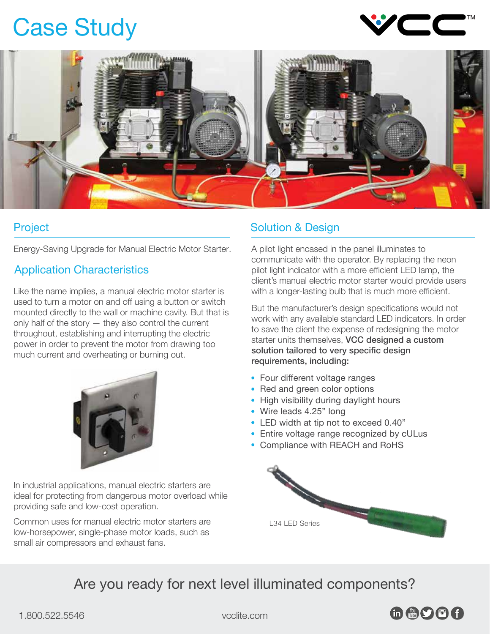## Case Study





Energy-Saving Upgrade for Manual Electric Motor Starter.

### Application Characteristics

Like the name implies, a manual electric motor starter is used to turn a motor on and off using a button or switch mounted directly to the wall or machine cavity. But that is only half of the story — they also control the current throughout, establishing and interrupting the electric power in order to prevent the motor from drawing too much current and overheating or burning out.



In industrial applications, manual electric starters are ideal for protecting from dangerous motor overload while providing safe and low-cost operation.

Common uses for manual electric motor starters are low-horsepower, single-phase motor loads, such as small air compressors and exhaust fans.

#### **Project Solution & Design**

A pilot light encased in the panel illuminates to communicate with the operator. By replacing the neon pilot light indicator with a more efficient LED lamp, the client's manual electric motor starter would provide users with a longer-lasting bulb that is much more efficient.

But the manufacturer's design specifications would not work with any available standard LED indicators. In order to save the client the expense of redesigning the motor starter units themselves. VCC designed a custom solution tailored to very specific design requirements, including:

- Four different voltage ranges
- Red and green color options
- High visibility during daylight hours
- Wire leads 4.25" long
- LED width at tip not to exceed 0.40"
- Entire voltage range recognized by cULus
- Compliance with REACH and RoHS



Are you ready for next level illuminated components?